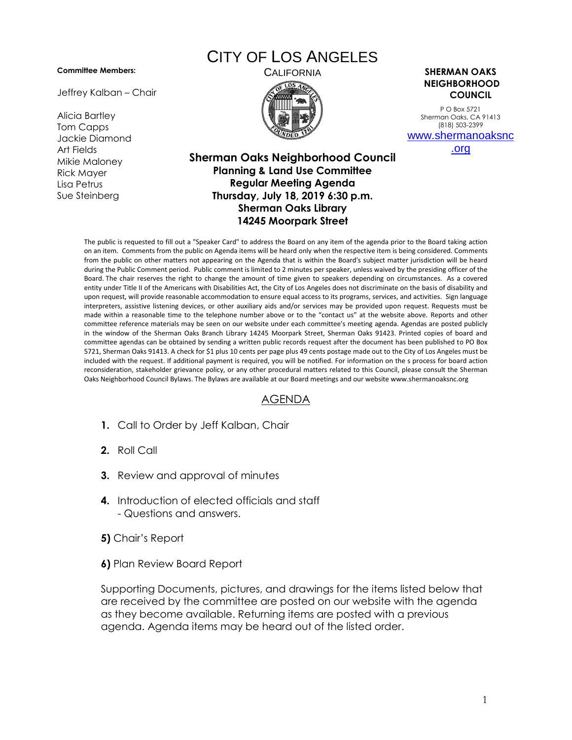## **Committee Members:**

Jeffrey Kalban – Chair

Alicia Bartley Tom Capps Jackie Diamond Art Fields Mikie Maloney Rick Mayer Lisa Petrus Sue Steinberg

## CITY OF LOS ANGELES



CALIFORNIA **SHERMAN OAKS NEIGHBORHOOD COUNCIL**

> P O Box 5721 Sherman Oaks, CA 91413 (818) 503-2399 [www.shermanoaksnc](http://www.shermanoaksnc.org/)

> > [.org](http://www.shermanoaksnc.org/)

## **Sherman Oaks Neighborhood Council Planning & Land Use Committee Regular Meeting Agenda Thursday, July 18, 2019 6:30 p.m. Sherman Oaks Library 14245 Moorpark Street**

The public is requested to fill out a "Speaker Card" to address the Board on any item of the agenda prior to the Board taking action on an item. Comments from the public on Agenda items will be heard only when the respective item is being considered. Comments from the public on other matters not appearing on the Agenda that is within the Board's subject matter jurisdiction will be heard during the Public Comment period. Public comment is limited to 2 minutes per speaker, unless waived by the presiding officer of the Board. The chair reserves the right to change the amount of time given to speakers depending on circumstances. As a covered entity under Title II of the Americans with Disabilities Act, the City of Los Angeles does not discriminate on the basis of disability and upon request, will provide reasonable accommodation to ensure equal access to its programs, services, and activities. Sign language interpreters, assistive listening devices, or other auxiliary aids and/or services may be provided upon request. Requests must be made within a reasonable time to the telephone number above or to the "contact us" at the website above. Reports and other committee reference materials may be seen on our website under each committee's meeting agenda. Agendas are posted publicly in the window of the Sherman Oaks Branch Library 14245 Moorpark Street, Sherman Oaks 91423. Printed copies of board and committee agendas can be obtained by sending a written public records request after the document has been published to PO Box 5721, Sherman Oaks 91413. A check for \$1 plus 10 cents per page plus 49 cents postage made out to the City of Los Angeles must be included with the request. If additional payment is required, you will be notified. For information on the s process for board action reconsideration, stakeholder grievance policy, or any other procedural matters related to this Council, please consult the Sherman Oaks Neighborhood Council Bylaws. The Bylaws are available at our Board meetings and our website www.shermanoaksnc.org

## AGENDA

- **1.** Call to Order by Jeff Kalban, Chair
- **2.** Roll Call
- **3.** Review and approval of minutes
- **4.** Introduction of elected officials and staff - Questions and answers.
- **5)** Chair's Report
- **6)** Plan Review Board Report

Supporting Documents, pictures, and drawings for the items listed below that are received by the committee are posted on our website with the agenda as they become available. Returning items are posted with a previous agenda. Agenda items may be heard out of the listed order.